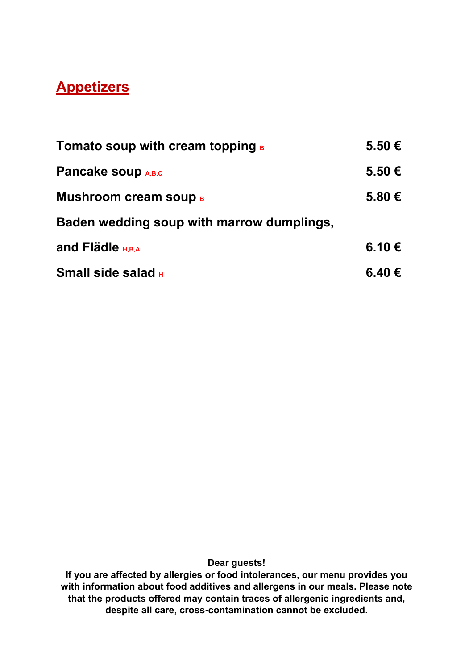## **Appetizers**

| <b>Tomato soup with cream topping B</b>   | 5.50 € |
|-------------------------------------------|--------|
| <b>Pancake soup A,B,c</b>                 | 5.50 € |
| <b>Mushroom cream soup B</b>              | 5.80 € |
| Baden wedding soup with marrow dumplings, |        |
| and Flädle $H_{H,B,A}$                    | 6.10 € |
| <b>Small side salad H</b>                 | 6.40 € |

**Dear guests!**

**If you are affected by allergies or food intolerances, our menu provides you with information about food additives and allergens in our meals. Please note that the products offered may contain traces of allergenic ingredients and, despite all care, cross-contamination cannot be excluded.**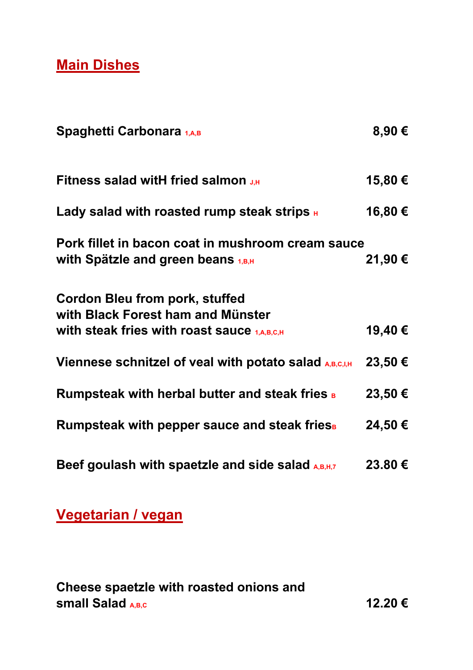**Main Dishes**

| Spaghetti Carbonara 1,A,B                                                                                                       | 8,90€   |
|---------------------------------------------------------------------------------------------------------------------------------|---------|
| <b>Fitness salad witH fried salmon J.H.</b>                                                                                     | 15,80€  |
| Lady salad with roasted rump steak strips $_{\rm H}$                                                                            | 16,80 € |
| Pork fillet in bacon coat in mushroom cream sauce<br>with Spätzle and green beans $1, B, H$                                     | 21,90 € |
| <b>Cordon Bleu from pork, stuffed</b><br>with Black Forest ham and Münster<br>with steak fries with roast sauce $1, A, B, C, H$ | 19,40€  |
| <b>Viennese schnitzel of veal with potato salad A,B,C,I,H</b>                                                                   | 23,50 € |
| <b>Rumpsteak with herbal butter and steak fries B</b>                                                                           | 23,50 € |
| Rumpsteak with pepper sauce and steak fries                                                                                     | 24,50 € |
| Beef goulash with spaetzle and side salad $_{A,B,H,7}$                                                                          | 23.80€  |

**Vegetarian / vegan** 

**Cheese spaetzle with roasted onions and small Salad A,B,C 12.20 €**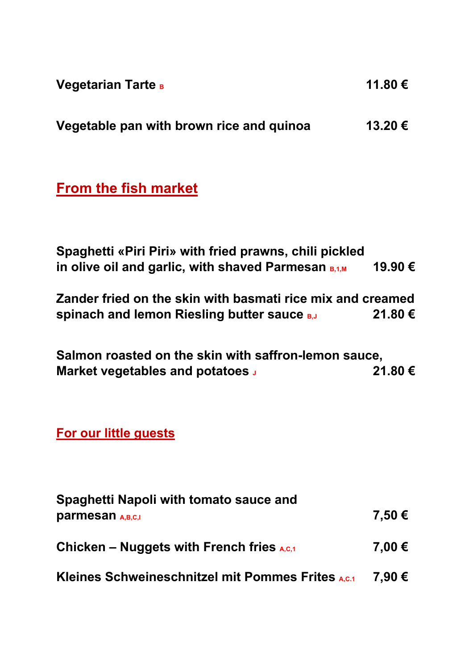| <b>Vegetarian Tarte в</b>                | 11.80 € |
|------------------------------------------|---------|
| Vegetable pan with brown rice and quinoa | 13.20 € |

# **From the fish market**

| Spaghetti «Piri Piri» with fried prawns, chili pickled   |         |
|----------------------------------------------------------|---------|
| in olive oil and garlic, with shaved Parmesan $_{B,1,M}$ | 19.90 € |

**Zander fried on the skin with basmati rice mix and creamed**  spinach and lemon Riesling butter sauce **B,J** 21.80 €

**Salmon roasted on the skin with saffron-lemon sauce, Market vegetables and potatoes** J 21.80 €

## **For our little guests**

| Spaghetti Napoli with tomato sauce and                   |        |
|----------------------------------------------------------|--------|
| <b>parmesan</b> A,B,C,I                                  | 7,50 € |
| Chicken – Nuggets with French fries $_{A,C,1}$           | 7,00 € |
| <b>Kleines Schweineschnitzel mit Pommes Frites A.c.1</b> | 7,90 € |